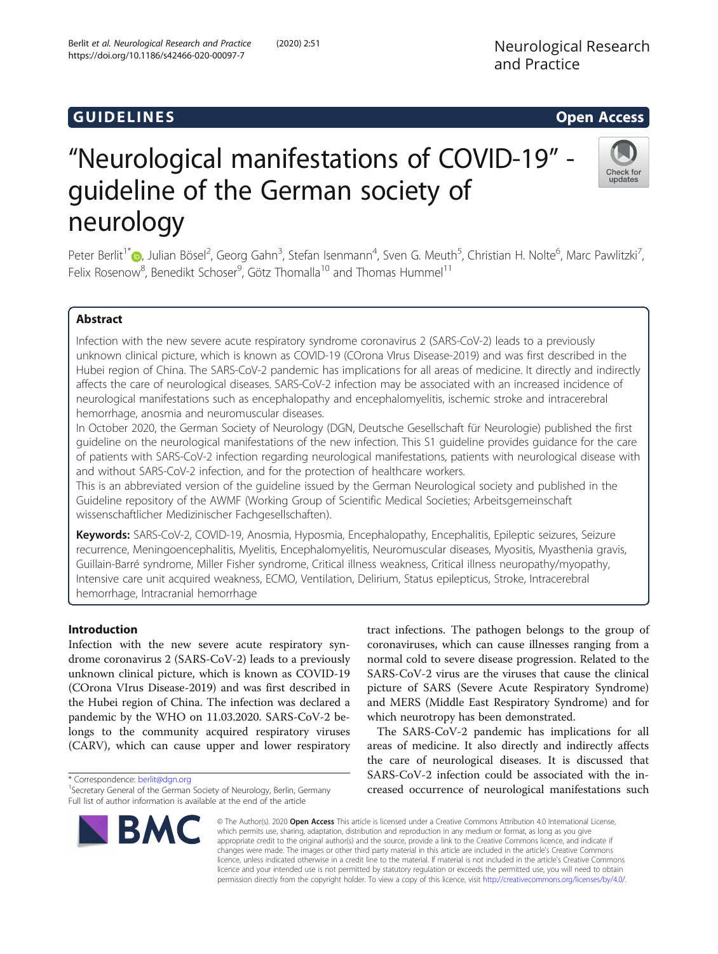# "Neurological manifestations of COVID-19" guideline of the German society of neurology

Peter Berlit<sup>1\*</sup>®[,](http://orcid.org/0000-0002-9544-7256) Julian Bösel<sup>2</sup>, Georg Gahn<sup>3</sup>, Stefan Isenmann<sup>4</sup>, Sven G. Meuth<sup>5</sup>, Christian H. Nolte<sup>6</sup>, Marc Pawlitzki<sup>7</sup> , Felix Rosenow<sup>8</sup>, Benedikt Schoser<sup>9</sup>, Götz Thomalla<sup>10</sup> and Thomas Hummel<sup>11</sup>

# Abstract

Infection with the new severe acute respiratory syndrome coronavirus 2 (SARS-CoV-2) leads to a previously unknown clinical picture, which is known as COVID-19 (COrona VIrus Disease-2019) and was first described in the Hubei region of China. The SARS-CoV-2 pandemic has implications for all areas of medicine. It directly and indirectly affects the care of neurological diseases. SARS-CoV-2 infection may be associated with an increased incidence of neurological manifestations such as encephalopathy and encephalomyelitis, ischemic stroke and intracerebral hemorrhage, anosmia and neuromuscular diseases.

In October 2020, the German Society of Neurology (DGN, Deutsche Gesellschaft für Neurologie) published the first guideline on the neurological manifestations of the new infection. This S1 guideline provides guidance for the care of patients with SARS-CoV-2 infection regarding neurological manifestations, patients with neurological disease with and without SARS-CoV-2 infection, and for the protection of healthcare workers.

This is an abbreviated version of the guideline issued by the German Neurological society and published in the Guideline repository of the AWMF (Working Group of Scientific Medical Societies; Arbeitsgemeinschaft wissenschaftlicher Medizinischer Fachgesellschaften).

Keywords: SARS-CoV-2, COVID-19, Anosmia, Hyposmia, Encephalopathy, Encephalitis, Epileptic seizures, Seizure recurrence, Meningoencephalitis, Myelitis, Encephalomyelitis, Neuromuscular diseases, Myositis, Myasthenia gravis, Guillain-Barré syndrome, Miller Fisher syndrome, Critical illness weakness, Critical illness neuropathy/myopathy, Intensive care unit acquired weakness, ECMO, Ventilation, Delirium, Status epilepticus, Stroke, Intracerebral hemorrhage, Intracranial hemorrhage

# Introduction

Infection with the new severe acute respiratory syndrome coronavirus 2 (SARS-CoV-2) leads to a previously unknown clinical picture, which is known as COVID-19 (COrona VIrus Disease-2019) and was first described in the Hubei region of China. The infection was declared a pandemic by the WHO on 11.03.2020. SARS-CoV-2 belongs to the community acquired respiratory viruses (CARV), which can cause upper and lower respiratory

\* Correspondence: [berlit@dgn.org](mailto:berlit@dgn.org) <sup>1</sup>

tract infections. The pathogen belongs to the group of coronaviruses, which can cause illnesses ranging from a normal cold to severe disease progression. Related to the SARS-CoV-2 virus are the viruses that cause the clinical picture of SARS (Severe Acute Respiratory Syndrome) and MERS (Middle East Respiratory Syndrome) and for which neurotropy has been demonstrated.

The SARS-CoV-2 pandemic has implications for all areas of medicine. It also directly and indirectly affects the care of neurological diseases. It is discussed that SARS-CoV-2 infection could be associated with the increased occurrence of neurological manifestations such

© The Author(s). 2020 Open Access This article is licensed under a Creative Commons Attribution 4.0 International License, which permits use, sharing, adaptation, distribution and reproduction in any medium or format, as long as you give appropriate credit to the original author(s) and the source, provide a link to the Creative Commons licence, and indicate if changes were made. The images or other third party material in this article are included in the article's Creative Commons licence, unless indicated otherwise in a credit line to the material. If material is not included in the article's Creative Commons licence and your intended use is not permitted by statutory regulation or exceeds the permitted use, you will need to obtain permission directly from the copyright holder. To view a copy of this licence, visit [http://creativecommons.org/licenses/by/4.0/.](http://creativecommons.org/licenses/by/4.0/)







<sup>&</sup>lt;sup>1</sup> Secretary General of the German Society of Neurology, Berlin, Germany Full list of author information is available at the end of the article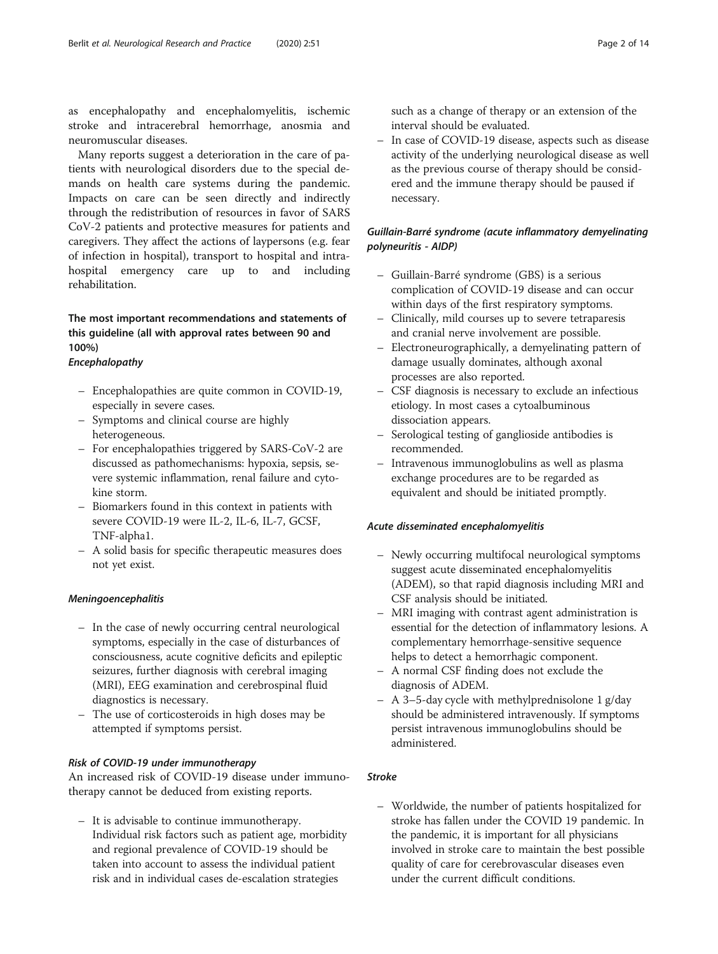as encephalopathy and encephalomyelitis, ischemic stroke and intracerebral hemorrhage, anosmia and neuromuscular diseases.

Many reports suggest a deterioration in the care of patients with neurological disorders due to the special demands on health care systems during the pandemic. Impacts on care can be seen directly and indirectly through the redistribution of resources in favor of SARS CoV-2 patients and protective measures for patients and caregivers. They affect the actions of laypersons (e.g. fear of infection in hospital), transport to hospital and intrahospital emergency care up to and including rehabilitation.

# The most important recommendations and statements of this guideline (all with approval rates between 90 and 100%)

# Encephalopathy

- Encephalopathies are quite common in COVID-19, especially in severe cases.
- Symptoms and clinical course are highly heterogeneous.
- For encephalopathies triggered by SARS-CoV-2 are discussed as pathomechanisms: hypoxia, sepsis, severe systemic inflammation, renal failure and cytokine storm.
- Biomarkers found in this context in patients with severe COVID-19 were IL-2, IL-6, IL-7, GCSF, TNF-alpha1.
- A solid basis for specific therapeutic measures does not yet exist.

# Meningoencephalitis

- In the case of newly occurring central neurological symptoms, especially in the case of disturbances of consciousness, acute cognitive deficits and epileptic seizures, further diagnosis with cerebral imaging (MRI), EEG examination and cerebrospinal fluid diagnostics is necessary.
- The use of corticosteroids in high doses may be attempted if symptoms persist.

# Risk of COVID-19 under immunotherapy

An increased risk of COVID-19 disease under immunotherapy cannot be deduced from existing reports.

– It is advisable to continue immunotherapy. Individual risk factors such as patient age, morbidity and regional prevalence of COVID-19 should be taken into account to assess the individual patient risk and in individual cases de-escalation strategies

such as a change of therapy or an extension of the interval should be evaluated.

In case of COVID-19 disease, aspects such as disease activity of the underlying neurological disease as well as the previous course of therapy should be considered and the immune therapy should be paused if necessary.

# Guillain-Barré syndrome (acute inflammatory demyelinating polyneuritis - AIDP)

- Guillain-Barré syndrome (GBS) is a serious complication of COVID-19 disease and can occur within days of the first respiratory symptoms.
- Clinically, mild courses up to severe tetraparesis and cranial nerve involvement are possible.
- Electroneurographically, a demyelinating pattern of damage usually dominates, although axonal processes are also reported.
- CSF diagnosis is necessary to exclude an infectious etiology. In most cases a cytoalbuminous dissociation appears.
- Serological testing of ganglioside antibodies is recommended.
- Intravenous immunoglobulins as well as plasma exchange procedures are to be regarded as equivalent and should be initiated promptly.

# Acute disseminated encephalomyelitis

- Newly occurring multifocal neurological symptoms suggest acute disseminated encephalomyelitis (ADEM), so that rapid diagnosis including MRI and CSF analysis should be initiated.
- MRI imaging with contrast agent administration is essential for the detection of inflammatory lesions. A complementary hemorrhage-sensitive sequence helps to detect a hemorrhagic component.
- A normal CSF finding does not exclude the diagnosis of ADEM.
- A 3–5-day cycle with methylprednisolone 1 g/day should be administered intravenously. If symptoms persist intravenous immunoglobulins should be administered.

#### Stroke

– Worldwide, the number of patients hospitalized for stroke has fallen under the COVID 19 pandemic. In the pandemic, it is important for all physicians involved in stroke care to maintain the best possible quality of care for cerebrovascular diseases even under the current difficult conditions.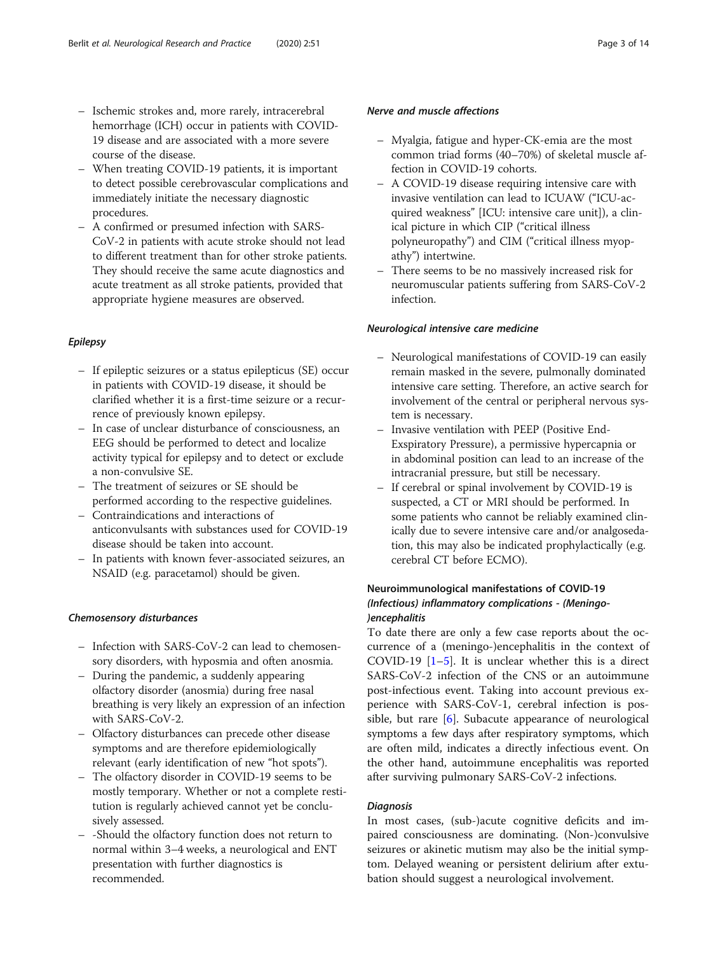- Ischemic strokes and, more rarely, intracerebral hemorrhage (ICH) occur in patients with COVID-19 disease and are associated with a more severe course of the disease.
- When treating COVID-19 patients, it is important to detect possible cerebrovascular complications and immediately initiate the necessary diagnostic procedures.
- A confirmed or presumed infection with SARS-CoV-2 in patients with acute stroke should not lead to different treatment than for other stroke patients. They should receive the same acute diagnostics and acute treatment as all stroke patients, provided that appropriate hygiene measures are observed.

# Epilepsy

- If epileptic seizures or a status epilepticus (SE) occur in patients with COVID-19 disease, it should be clarified whether it is a first-time seizure or a recurrence of previously known epilepsy.
- In case of unclear disturbance of consciousness, an EEG should be performed to detect and localize activity typical for epilepsy and to detect or exclude a non-convulsive SE.
- The treatment of seizures or SE should be performed according to the respective guidelines.
- Contraindications and interactions of anticonvulsants with substances used for COVID-19 disease should be taken into account.
- In patients with known fever-associated seizures, an NSAID (e.g. paracetamol) should be given.

# Chemosensory disturbances

- Infection with SARS-CoV-2 can lead to chemosensory disorders, with hyposmia and often anosmia.
- During the pandemic, a suddenly appearing olfactory disorder (anosmia) during free nasal breathing is very likely an expression of an infection with SARS-CoV-2.
- Olfactory disturbances can precede other disease symptoms and are therefore epidemiologically relevant (early identification of new "hot spots").
- The olfactory disorder in COVID-19 seems to be mostly temporary. Whether or not a complete restitution is regularly achieved cannot yet be conclusively assessed.
- -Should the olfactory function does not return to normal within 3–4 weeks, a neurological and ENT presentation with further diagnostics is recommended.

# Nerve and muscle affections

- Myalgia, fatigue and hyper-CK-emia are the most common triad forms (40–70%) of skeletal muscle affection in COVID-19 cohorts.
- A COVID-19 disease requiring intensive care with invasive ventilation can lead to ICUAW ("ICU-acquired weakness" [ICU: intensive care unit]), a clinical picture in which CIP ("critical illness polyneuropathy") and CIM ("critical illness myopathy") intertwine.
- There seems to be no massively increased risk for neuromuscular patients suffering from SARS-CoV-2 infection.

# Neurological intensive care medicine

- Neurological manifestations of COVID-19 can easily remain masked in the severe, pulmonally dominated intensive care setting. Therefore, an active search for involvement of the central or peripheral nervous system is necessary.
- Invasive ventilation with PEEP (Positive End-Exspiratory Pressure), a permissive hypercapnia or in abdominal position can lead to an increase of the intracranial pressure, but still be necessary.
- If cerebral or spinal involvement by COVID-19 is suspected, a CT or MRI should be performed. In some patients who cannot be reliably examined clinically due to severe intensive care and/or analgosedation, this may also be indicated prophylactically (e.g. cerebral CT before ECMO).

# Neuroimmunological manifestations of COVID-19 (Infectious) inflammatory complications - (Meningo- )encephalitis

To date there are only a few case reports about the occurrence of a (meningo-)encephalitis in the context of COVID-19  $[1-5]$  $[1-5]$  $[1-5]$ . It is unclear whether this is a direct SARS-CoV-2 infection of the CNS or an autoimmune post-infectious event. Taking into account previous experience with SARS-CoV-1, cerebral infection is possible, but rare [[6\]](#page-11-0). Subacute appearance of neurological symptoms a few days after respiratory symptoms, which are often mild, indicates a directly infectious event. On the other hand, autoimmune encephalitis was reported after surviving pulmonary SARS-CoV-2 infections.

# Diagnosis

In most cases, (sub-)acute cognitive deficits and impaired consciousness are dominating. (Non-)convulsive seizures or akinetic mutism may also be the initial symptom. Delayed weaning or persistent delirium after extubation should suggest a neurological involvement.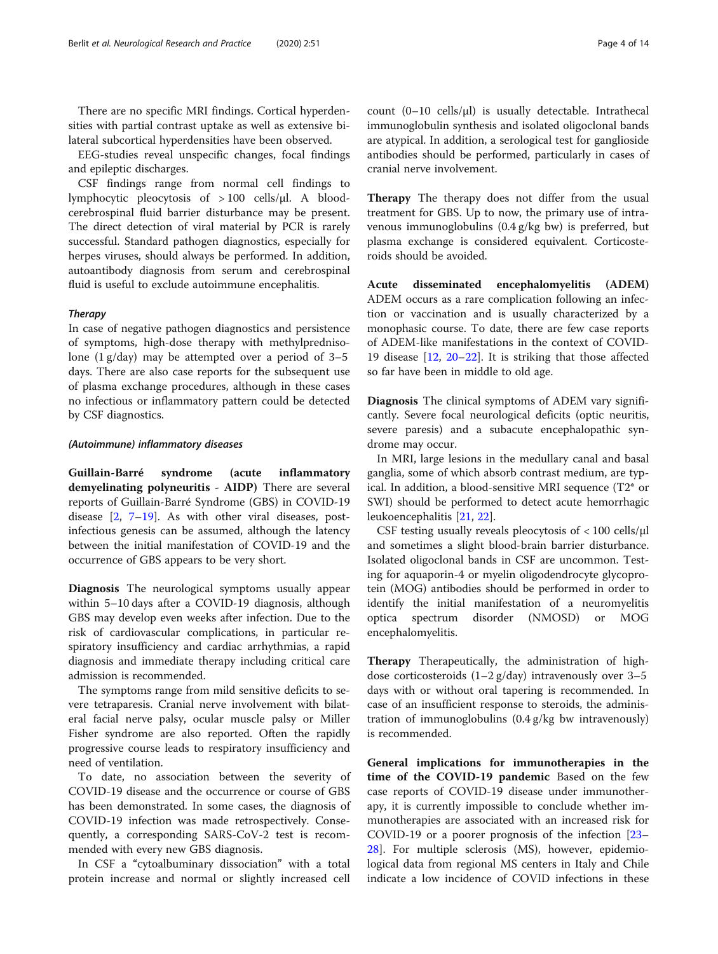There are no specific MRI findings. Cortical hyperdensities with partial contrast uptake as well as extensive bilateral subcortical hyperdensities have been observed.

EEG-studies reveal unspecific changes, focal findings and epileptic discharges.

CSF findings range from normal cell findings to lymphocytic pleocytosis of > 100 cells/μl. A bloodcerebrospinal fluid barrier disturbance may be present. The direct detection of viral material by PCR is rarely successful. Standard pathogen diagnostics, especially for herpes viruses, should always be performed. In addition, autoantibody diagnosis from serum and cerebrospinal fluid is useful to exclude autoimmune encephalitis.

# **Therapy**

In case of negative pathogen diagnostics and persistence of symptoms, high-dose therapy with methylprednisolone (1 g/day) may be attempted over a period of 3–5 days. There are also case reports for the subsequent use of plasma exchange procedures, although in these cases no infectious or inflammatory pattern could be detected by CSF diagnostics.

#### (Autoimmune) inflammatory diseases

Guillain-Barré syndrome (acute inflammatory demyelinating polyneuritis - AIDP) There are several reports of Guillain-Barré Syndrome (GBS) in COVID-19 disease  $[2, 7-19]$  $[2, 7-19]$  $[2, 7-19]$  $[2, 7-19]$  $[2, 7-19]$ . As with other viral diseases, postinfectious genesis can be assumed, although the latency between the initial manifestation of COVID-19 and the occurrence of GBS appears to be very short.

Diagnosis The neurological symptoms usually appear within 5–10 days after a COVID-19 diagnosis, although GBS may develop even weeks after infection. Due to the risk of cardiovascular complications, in particular respiratory insufficiency and cardiac arrhythmias, a rapid diagnosis and immediate therapy including critical care admission is recommended.

The symptoms range from mild sensitive deficits to severe tetraparesis. Cranial nerve involvement with bilateral facial nerve palsy, ocular muscle palsy or Miller Fisher syndrome are also reported. Often the rapidly progressive course leads to respiratory insufficiency and need of ventilation.

To date, no association between the severity of COVID-19 disease and the occurrence or course of GBS has been demonstrated. In some cases, the diagnosis of COVID-19 infection was made retrospectively. Consequently, a corresponding SARS-CoV-2 test is recommended with every new GBS diagnosis.

In CSF a "cytoalbuminary dissociation" with a total protein increase and normal or slightly increased cell count (0–10 cells/μl) is usually detectable. Intrathecal immunoglobulin synthesis and isolated oligoclonal bands are atypical. In addition, a serological test for ganglioside antibodies should be performed, particularly in cases of cranial nerve involvement.

Therapy The therapy does not differ from the usual treatment for GBS. Up to now, the primary use of intravenous immunoglobulins (0.4 g/kg bw) is preferred, but plasma exchange is considered equivalent. Corticosteroids should be avoided.

Acute disseminated encephalomyelitis (ADEM) ADEM occurs as a rare complication following an infection or vaccination and is usually characterized by a monophasic course. To date, there are few case reports of ADEM-like manifestations in the context of COVID-19 disease [\[12](#page-11-0), [20](#page-11-0)–[22\]](#page-11-0). It is striking that those affected so far have been in middle to old age.

Diagnosis The clinical symptoms of ADEM vary significantly. Severe focal neurological deficits (optic neuritis, severe paresis) and a subacute encephalopathic syndrome may occur.

In MRI, large lesions in the medullary canal and basal ganglia, some of which absorb contrast medium, are typical. In addition, a blood-sensitive MRI sequence (T2\* or SWI) should be performed to detect acute hemorrhagic leukoencephalitis [\[21](#page-11-0), [22](#page-11-0)].

CSF testing usually reveals pleocytosis of < 100 cells/μl and sometimes a slight blood-brain barrier disturbance. Isolated oligoclonal bands in CSF are uncommon. Testing for aquaporin-4 or myelin oligodendrocyte glycoprotein (MOG) antibodies should be performed in order to identify the initial manifestation of a neuromyelitis optica spectrum disorder (NMOSD) or MOG encephalomyelitis.

Therapy Therapeutically, the administration of highdose corticosteroids  $(1-2)$  g/day) intravenously over 3-5 days with or without oral tapering is recommended. In case of an insufficient response to steroids, the administration of immunoglobulins (0.4 g/kg bw intravenously) is recommended.

General implications for immunotherapies in the time of the COVID-19 pandemic Based on the few case reports of COVID-19 disease under immunotherapy, it is currently impossible to conclude whether immunotherapies are associated with an increased risk for COVID-19 or a poorer prognosis of the infection [[23](#page-11-0)– [28\]](#page-11-0). For multiple sclerosis (MS), however, epidemiological data from regional MS centers in Italy and Chile indicate a low incidence of COVID infections in these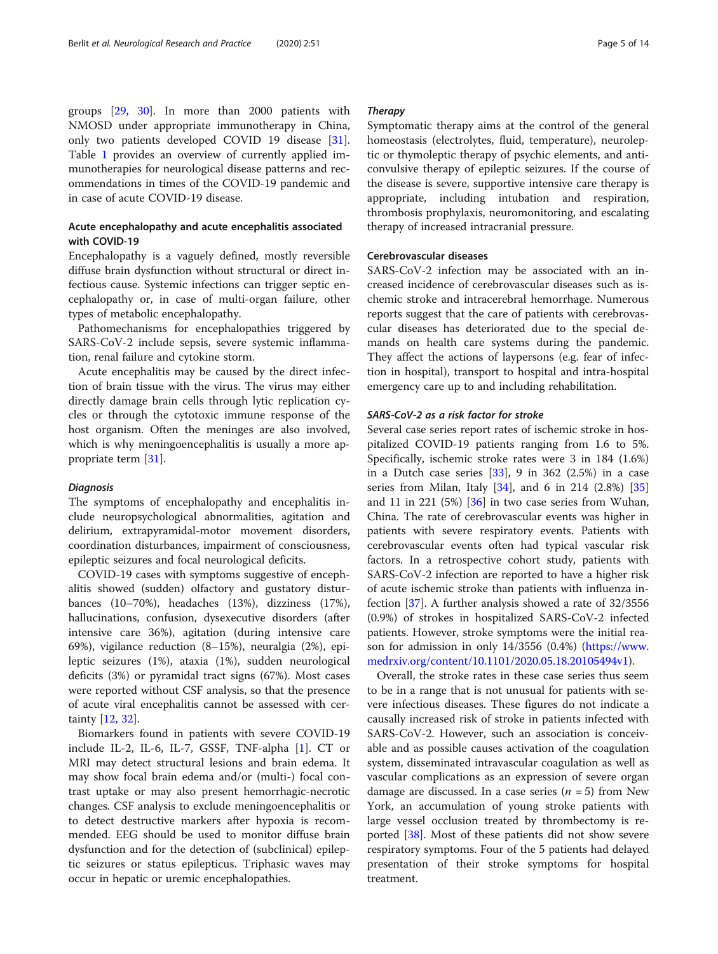groups [[29,](#page-11-0) [30\]](#page-11-0). In more than 2000 patients with NMOSD under appropriate immunotherapy in China, only two patients developed COVID 19 disease [\[31](#page-11-0)]. Table [1](#page-5-0) provides an overview of currently applied immunotherapies for neurological disease patterns and recommendations in times of the COVID-19 pandemic and in case of acute COVID-19 disease.

# Acute encephalopathy and acute encephalitis associated with COVID-19

Encephalopathy is a vaguely defined, mostly reversible diffuse brain dysfunction without structural or direct infectious cause. Systemic infections can trigger septic encephalopathy or, in case of multi-organ failure, other types of metabolic encephalopathy.

Pathomechanisms for encephalopathies triggered by SARS-CoV-2 include sepsis, severe systemic inflammation, renal failure and cytokine storm.

Acute encephalitis may be caused by the direct infection of brain tissue with the virus. The virus may either directly damage brain cells through lytic replication cycles or through the cytotoxic immune response of the host organism. Often the meninges are also involved, which is why meningoencephalitis is usually a more appropriate term [[31](#page-11-0)].

#### **Diagnosis**

The symptoms of encephalopathy and encephalitis include neuropsychological abnormalities, agitation and delirium, extrapyramidal-motor movement disorders, coordination disturbances, impairment of consciousness, epileptic seizures and focal neurological deficits.

COVID-19 cases with symptoms suggestive of encephalitis showed (sudden) olfactory and gustatory disturbances (10–70%), headaches (13%), dizziness (17%), hallucinations, confusion, dysexecutive disorders (after intensive care 36%), agitation (during intensive care 69%), vigilance reduction (8–15%), neuralgia (2%), epileptic seizures (1%), ataxia (1%), sudden neurological deficits (3%) or pyramidal tract signs (67%). Most cases were reported without CSF analysis, so that the presence of acute viral encephalitis cannot be assessed with certainty [[12,](#page-11-0) [32\]](#page-11-0).

Biomarkers found in patients with severe COVID-19 include IL-2, IL-6, IL-7, GSSF, TNF-alpha [\[1\]](#page-11-0). CT or MRI may detect structural lesions and brain edema. It may show focal brain edema and/or (multi-) focal contrast uptake or may also present hemorrhagic-necrotic changes. CSF analysis to exclude meningoencephalitis or to detect destructive markers after hypoxia is recommended. EEG should be used to monitor diffuse brain dysfunction and for the detection of (subclinical) epileptic seizures or status epilepticus. Triphasic waves may occur in hepatic or uremic encephalopathies.

# **Therapy**

Symptomatic therapy aims at the control of the general homeostasis (electrolytes, fluid, temperature), neuroleptic or thymoleptic therapy of psychic elements, and anticonvulsive therapy of epileptic seizures. If the course of the disease is severe, supportive intensive care therapy is appropriate, including intubation and respiration, thrombosis prophylaxis, neuromonitoring, and escalating therapy of increased intracranial pressure.

# Cerebrovascular diseases

SARS-CoV-2 infection may be associated with an increased incidence of cerebrovascular diseases such as ischemic stroke and intracerebral hemorrhage. Numerous reports suggest that the care of patients with cerebrovascular diseases has deteriorated due to the special demands on health care systems during the pandemic. They affect the actions of laypersons (e.g. fear of infection in hospital), transport to hospital and intra-hospital emergency care up to and including rehabilitation.

# SARS-CoV-2 as a risk factor for stroke

Several case series report rates of ischemic stroke in hospitalized COVID-19 patients ranging from 1.6 to 5%. Specifically, ischemic stroke rates were 3 in 184 (1.6%) in a Dutch case series  $[33]$  $[33]$  $[33]$ , 9 in 362 (2.5%) in a case series from Milan, Italy [\[34](#page-12-0)], and 6 in 214 (2.8%) [[35](#page-12-0)] and 11 in 221 (5%) [\[36](#page-12-0)] in two case series from Wuhan, China. The rate of cerebrovascular events was higher in patients with severe respiratory events. Patients with cerebrovascular events often had typical vascular risk factors. In a retrospective cohort study, patients with SARS-CoV-2 infection are reported to have a higher risk of acute ischemic stroke than patients with influenza infection [\[37\]](#page-12-0). A further analysis showed a rate of 32/3556 (0.9%) of strokes in hospitalized SARS-CoV-2 infected patients. However, stroke symptoms were the initial reason for admission in only 14/3556 (0.4%) ([https://www.](https://www.medrxiv.org/content/10.1101/2020.05.18.20105494v1) [medrxiv.org/content/10.1101/2020.05.18.20105494v1\)](https://www.medrxiv.org/content/10.1101/2020.05.18.20105494v1).

Overall, the stroke rates in these case series thus seem to be in a range that is not unusual for patients with severe infectious diseases. These figures do not indicate a causally increased risk of stroke in patients infected with SARS-CoV-2. However, such an association is conceivable and as possible causes activation of the coagulation system, disseminated intravascular coagulation as well as vascular complications as an expression of severe organ damage are discussed. In a case series ( $n = 5$ ) from New York, an accumulation of young stroke patients with large vessel occlusion treated by thrombectomy is reported [\[38](#page-12-0)]. Most of these patients did not show severe respiratory symptoms. Four of the 5 patients had delayed presentation of their stroke symptoms for hospital treatment.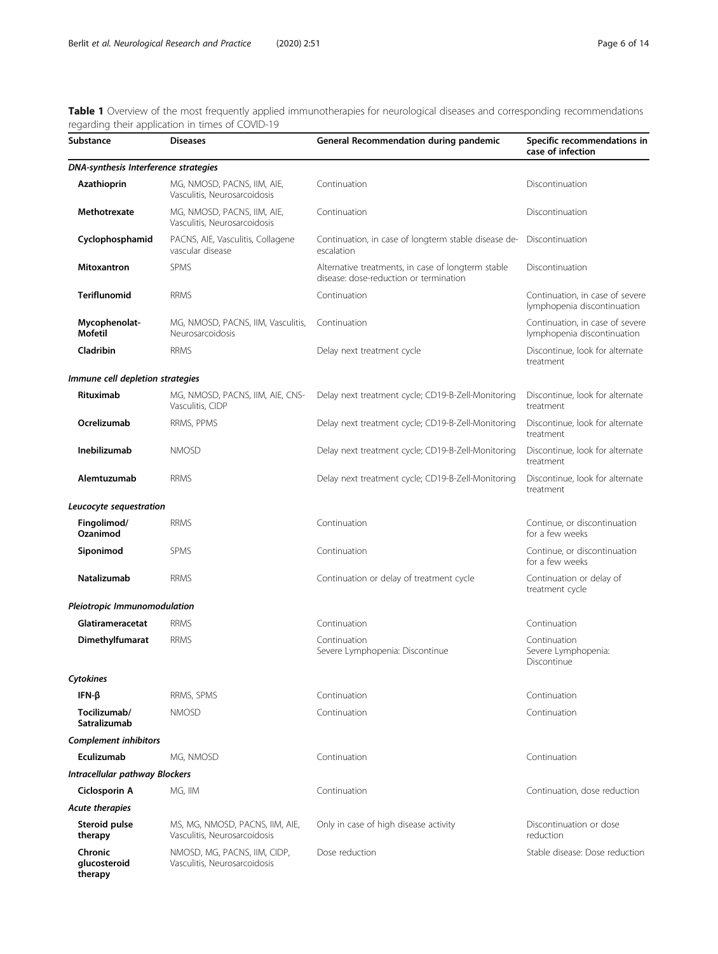<span id="page-5-0"></span>Table 1 Overview of the most frequently applied immunotherapies for neurological diseases and corresponding recommendations regarding their application in times of COVID-19

|                                       | egaranig their application in times or covid-15                 |                                                                                              |                                                                |
|---------------------------------------|-----------------------------------------------------------------|----------------------------------------------------------------------------------------------|----------------------------------------------------------------|
| Substance                             | <b>Diseases</b>                                                 | General Recommendation during pandemic                                                       | Specific recommendations in<br>case of infection               |
| DNA-synthesis Interference strategies |                                                                 |                                                                                              |                                                                |
| Azathioprin                           | MG, NMOSD, PACNS, IIM, AIE,<br>Vasculitis, Neurosarcoidosis     | Continuation                                                                                 | Discontinuation                                                |
| Methotrexate                          | MG, NMOSD, PACNS, IIM, AIE,<br>Vasculitis, Neurosarcoidosis     | Continuation                                                                                 | Discontinuation                                                |
| Cyclophosphamid                       | PACNS, AIE, Vasculitis, Collagene<br>vascular disease           | Continuation, in case of longterm stable disease de-<br>escalation                           | Discontinuation                                                |
| <b>Mitoxantron</b>                    | <b>SPMS</b>                                                     | Alternative treatments, in case of longterm stable<br>disease: dose-reduction or termination | Discontinuation                                                |
| <b>Teriflunomid</b>                   | <b>RRMS</b>                                                     | Continuation                                                                                 | Continuation, in case of severe<br>lymphopenia discontinuation |
| Mycophenolat-<br>Mofetil              | MG, NMOSD, PACNS, IIM, Vasculitis,<br>Neurosarcoidosis          | Continuation                                                                                 | Continuation, in case of severe<br>lymphopenia discontinuation |
| Cladribin                             | <b>RRMS</b>                                                     | Delay next treatment cycle                                                                   | Discontinue, look for alternate<br>treatment                   |
| Immune cell depletion strategies      |                                                                 |                                                                                              |                                                                |
| Rituximab                             | MG, NMOSD, PACNS, IIM, AIE, CNS-<br>Vasculitis, CIDP            | Delay next treatment cycle; CD19-B-Zell-Monitoring                                           | Discontinue, look for alternate<br>treatment                   |
| Ocrelizumab                           | RRMS, PPMS                                                      | Delay next treatment cycle; CD19-B-Zell-Monitoring                                           | Discontinue, look for alternate<br>treatment                   |
| Inebilizumab                          | <b>NMOSD</b>                                                    | Delay next treatment cycle; CD19-B-Zell-Monitoring                                           | Discontinue, look for alternate<br>treatment                   |
| Alemtuzumab                           | <b>RRMS</b>                                                     | Delay next treatment cycle; CD19-B-Zell-Monitoring                                           | Discontinue, look for alternate<br>treatment                   |
| Leucocyte sequestration               |                                                                 |                                                                                              |                                                                |
| Fingolimod/<br>Ozanimod               | <b>RRMS</b>                                                     | Continuation                                                                                 | Continue, or discontinuation<br>for a few weeks                |
| Siponimod                             | <b>SPMS</b>                                                     | Continuation                                                                                 | Continue, or discontinuation<br>for a few weeks                |
| <b>Natalizumab</b>                    | <b>RRMS</b>                                                     | Continuation or delay of treatment cycle                                                     | Continuation or delay of<br>treatment cycle                    |
| Pleiotropic Immunomodulation          |                                                                 |                                                                                              |                                                                |
| Glatirameracetat                      | <b>RRMS</b>                                                     | Continuation                                                                                 | Continuation                                                   |
| <b>Dimethylfumarat</b>                | <b>RRMS</b>                                                     | Continuation<br>Severe Lymphopenia: Discontinue                                              | Continuation<br>Severe Lymphopenia:<br>Discontinue             |
| Cytokines                             |                                                                 |                                                                                              |                                                                |
| IFN- $\beta$                          | RRMS, SPMS                                                      | Continuation                                                                                 | Continuation                                                   |
| Tocilizumab/<br>Satralizumab          | <b>NMOSD</b>                                                    | Continuation                                                                                 | Continuation                                                   |
| <b>Complement inhibitors</b>          |                                                                 |                                                                                              |                                                                |
| Eculizumab                            | MG, NMOSD                                                       | Continuation                                                                                 | Continuation                                                   |
| Intracellular pathway Blockers        |                                                                 |                                                                                              |                                                                |
| Ciclosporin A                         | MG, IIM                                                         | Continuation                                                                                 | Continuation, dose reduction                                   |
| <b>Acute therapies</b>                |                                                                 |                                                                                              |                                                                |
| Steroid pulse<br>therapy              | MS, MG, NMOSD, PACNS, IIM, AIE,<br>Vasculitis, Neurosarcoidosis | Only in case of high disease activity                                                        | Discontinuation or dose<br>reduction                           |
| Chronic<br>glucosteroid<br>therapy    | NMOSD, MG, PACNS, IIM, CIDP,<br>Vasculitis, Neurosarcoidosis    | Dose reduction                                                                               | Stable disease: Dose reduction                                 |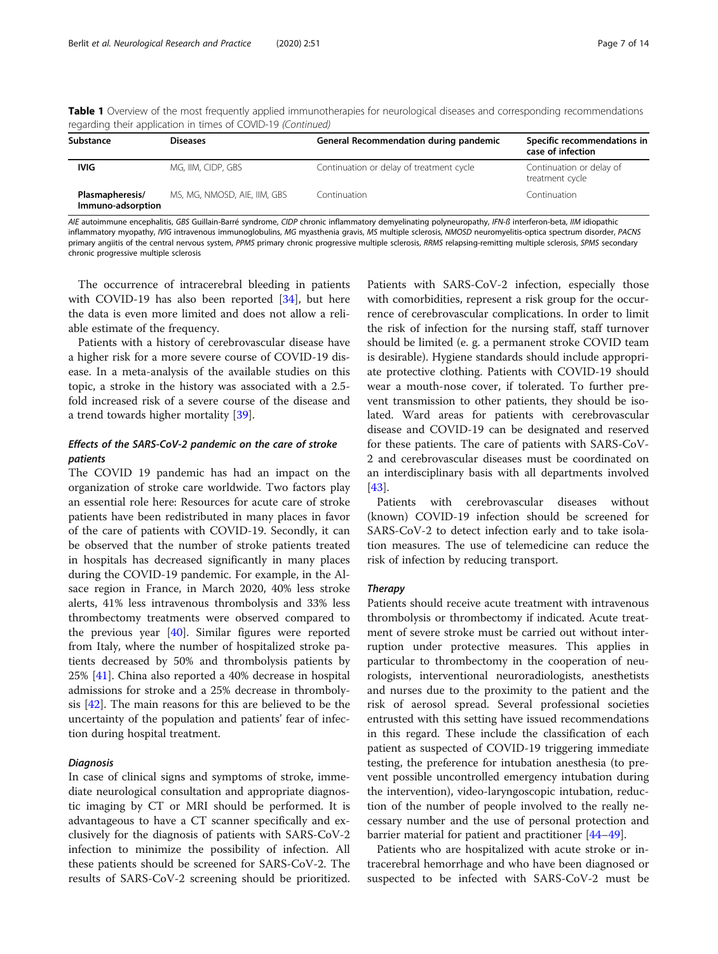| Substance                            | <b>Diseases</b>              | General Recommendation during pandemic   | Specific recommendations in<br>case of infection |
|--------------------------------------|------------------------------|------------------------------------------|--------------------------------------------------|
| <b>IVIG</b>                          | MG, IIM, CIDP, GBS           | Continuation or delay of treatment cycle | Continuation or delay of<br>treatment cycle      |
| Plasmapheresis/<br>Immuno-adsorption | MS, MG, NMOSD, AIE, IIM, GBS | Continuation                             | Continuation                                     |

Table 1 Overview of the most frequently applied immunotherapies for neurological diseases and corresponding recommendations regarding their application in times of COVID-19 (Continued)

AIE autoimmune encephalitis, GBS Guillain-Barré syndrome, CIDP chronic inflammatory demyelinating polyneuropathy, IFN-ß interferon-beta, IIM idiopathic inflammatory myopathy, IVIG intravenous immunoglobulins, MG myasthenia gravis, MS multiple sclerosis, NMOSD neuromyelitis-optica spectrum disorder, PACNS primary angiitis of the central nervous system, PPMS primary chronic progressive multiple sclerosis, RRMS relapsing-remitting multiple sclerosis, SPMS secondary chronic progressive multiple sclerosis

The occurrence of intracerebral bleeding in patients with COVID-19 has also been reported [[34](#page-12-0)], but here the data is even more limited and does not allow a reliable estimate of the frequency.

Patients with a history of cerebrovascular disease have a higher risk for a more severe course of COVID-19 disease. In a meta-analysis of the available studies on this topic, a stroke in the history was associated with a 2.5 fold increased risk of a severe course of the disease and a trend towards higher mortality [\[39](#page-12-0)].

# Effects of the SARS-CoV-2 pandemic on the care of stroke patients

The COVID 19 pandemic has had an impact on the organization of stroke care worldwide. Two factors play an essential role here: Resources for acute care of stroke patients have been redistributed in many places in favor of the care of patients with COVID-19. Secondly, it can be observed that the number of stroke patients treated in hospitals has decreased significantly in many places during the COVID-19 pandemic. For example, in the Alsace region in France, in March 2020, 40% less stroke alerts, 41% less intravenous thrombolysis and 33% less thrombectomy treatments were observed compared to the previous year [[40](#page-12-0)]. Similar figures were reported from Italy, where the number of hospitalized stroke patients decreased by 50% and thrombolysis patients by 25% [[41](#page-12-0)]. China also reported a 40% decrease in hospital admissions for stroke and a 25% decrease in thrombolysis [\[42\]](#page-12-0). The main reasons for this are believed to be the uncertainty of the population and patients' fear of infection during hospital treatment.

#### Diagnosis

In case of clinical signs and symptoms of stroke, immediate neurological consultation and appropriate diagnostic imaging by CT or MRI should be performed. It is advantageous to have a CT scanner specifically and exclusively for the diagnosis of patients with SARS-CoV-2 infection to minimize the possibility of infection. All these patients should be screened for SARS-CoV-2. The results of SARS-CoV-2 screening should be prioritized.

Patients with SARS-CoV-2 infection, especially those with comorbidities, represent a risk group for the occurrence of cerebrovascular complications. In order to limit the risk of infection for the nursing staff, staff turnover should be limited (e. g. a permanent stroke COVID team is desirable). Hygiene standards should include appropriate protective clothing. Patients with COVID-19 should wear a mouth-nose cover, if tolerated. To further prevent transmission to other patients, they should be isolated. Ward areas for patients with cerebrovascular disease and COVID-19 can be designated and reserved for these patients. The care of patients with SARS-CoV-2 and cerebrovascular diseases must be coordinated on an interdisciplinary basis with all departments involved [[43\]](#page-12-0).

Patients with cerebrovascular diseases without (known) COVID-19 infection should be screened for SARS-CoV-2 to detect infection early and to take isolation measures. The use of telemedicine can reduce the risk of infection by reducing transport.

# **Therapy**

Patients should receive acute treatment with intravenous thrombolysis or thrombectomy if indicated. Acute treatment of severe stroke must be carried out without interruption under protective measures. This applies in particular to thrombectomy in the cooperation of neurologists, interventional neuroradiologists, anesthetists and nurses due to the proximity to the patient and the risk of aerosol spread. Several professional societies entrusted with this setting have issued recommendations in this regard. These include the classification of each patient as suspected of COVID-19 triggering immediate testing, the preference for intubation anesthesia (to prevent possible uncontrolled emergency intubation during the intervention), video-laryngoscopic intubation, reduction of the number of people involved to the really necessary number and the use of personal protection and barrier material for patient and practitioner [\[44](#page-12-0)–[49\]](#page-12-0).

Patients who are hospitalized with acute stroke or intracerebral hemorrhage and who have been diagnosed or suspected to be infected with SARS-CoV-2 must be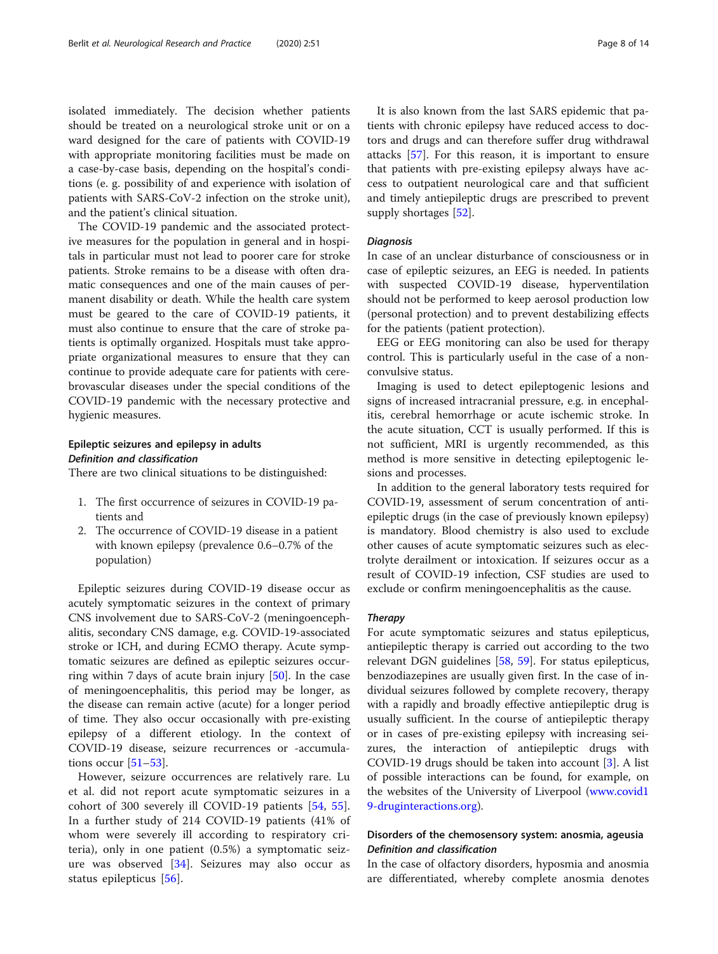isolated immediately. The decision whether patients should be treated on a neurological stroke unit or on a ward designed for the care of patients with COVID-19 with appropriate monitoring facilities must be made on a case-by-case basis, depending on the hospital's conditions (e. g. possibility of and experience with isolation of patients with SARS-CoV-2 infection on the stroke unit), and the patient's clinical situation.

The COVID-19 pandemic and the associated protective measures for the population in general and in hospitals in particular must not lead to poorer care for stroke patients. Stroke remains to be a disease with often dramatic consequences and one of the main causes of permanent disability or death. While the health care system must be geared to the care of COVID-19 patients, it must also continue to ensure that the care of stroke patients is optimally organized. Hospitals must take appropriate organizational measures to ensure that they can continue to provide adequate care for patients with cerebrovascular diseases under the special conditions of the COVID-19 pandemic with the necessary protective and hygienic measures.

# Epileptic seizures and epilepsy in adults Definition and classification

There are two clinical situations to be distinguished:

- 1. The first occurrence of seizures in COVID-19 patients and
- 2. The occurrence of COVID-19 disease in a patient with known epilepsy (prevalence 0.6–0.7% of the population)

Epileptic seizures during COVID-19 disease occur as acutely symptomatic seizures in the context of primary CNS involvement due to SARS-CoV-2 (meningoencephalitis, secondary CNS damage, e.g. COVID-19-associated stroke or ICH, and during ECMO therapy. Acute symptomatic seizures are defined as epileptic seizures occurring within 7 days of acute brain injury [\[50](#page-12-0)]. In the case of meningoencephalitis, this period may be longer, as the disease can remain active (acute) for a longer period of time. They also occur occasionally with pre-existing epilepsy of a different etiology. In the context of COVID-19 disease, seizure recurrences or -accumulations occur  $[51-53]$  $[51-53]$  $[51-53]$  $[51-53]$  $[51-53]$ .

However, seizure occurrences are relatively rare. Lu et al. did not report acute symptomatic seizures in a cohort of 300 severely ill COVID-19 patients [[54,](#page-12-0) [55](#page-12-0)]. In a further study of 214 COVID-19 patients (41% of whom were severely ill according to respiratory criteria), only in one patient (0.5%) a symptomatic seizure was observed [[34\]](#page-12-0). Seizures may also occur as status epilepticus [[56](#page-12-0)].

It is also known from the last SARS epidemic that patients with chronic epilepsy have reduced access to doctors and drugs and can therefore suffer drug withdrawal attacks [[57\]](#page-12-0). For this reason, it is important to ensure that patients with pre-existing epilepsy always have access to outpatient neurological care and that sufficient and timely antiepileptic drugs are prescribed to prevent supply shortages [[52](#page-12-0)].

# Diagnosis

In case of an unclear disturbance of consciousness or in case of epileptic seizures, an EEG is needed. In patients with suspected COVID-19 disease, hyperventilation should not be performed to keep aerosol production low (personal protection) and to prevent destabilizing effects for the patients (patient protection).

EEG or EEG monitoring can also be used for therapy control. This is particularly useful in the case of a nonconvulsive status.

Imaging is used to detect epileptogenic lesions and signs of increased intracranial pressure, e.g. in encephalitis, cerebral hemorrhage or acute ischemic stroke. In the acute situation, CCT is usually performed. If this is not sufficient, MRI is urgently recommended, as this method is more sensitive in detecting epileptogenic lesions and processes.

In addition to the general laboratory tests required for COVID-19, assessment of serum concentration of antiepileptic drugs (in the case of previously known epilepsy) is mandatory. Blood chemistry is also used to exclude other causes of acute symptomatic seizures such as electrolyte derailment or intoxication. If seizures occur as a result of COVID-19 infection, CSF studies are used to exclude or confirm meningoencephalitis as the cause.

#### **Therapy**

For acute symptomatic seizures and status epilepticus, antiepileptic therapy is carried out according to the two relevant DGN guidelines [[58,](#page-12-0) [59](#page-12-0)]. For status epilepticus, benzodiazepines are usually given first. In the case of individual seizures followed by complete recovery, therapy with a rapidly and broadly effective antiepileptic drug is usually sufficient. In the course of antiepileptic therapy or in cases of pre-existing epilepsy with increasing seizures, the interaction of antiepileptic drugs with COVID-19 drugs should be taken into account [\[3](#page-11-0)]. A list of possible interactions can be found, for example, on the websites of the University of Liverpool [\(www.covid1](http://www.covid19-druginteractions.org) [9-druginteractions.org\)](http://www.covid19-druginteractions.org).

# Disorders of the chemosensory system: anosmia, ageusia Definition and classification

In the case of olfactory disorders, hyposmia and anosmia are differentiated, whereby complete anosmia denotes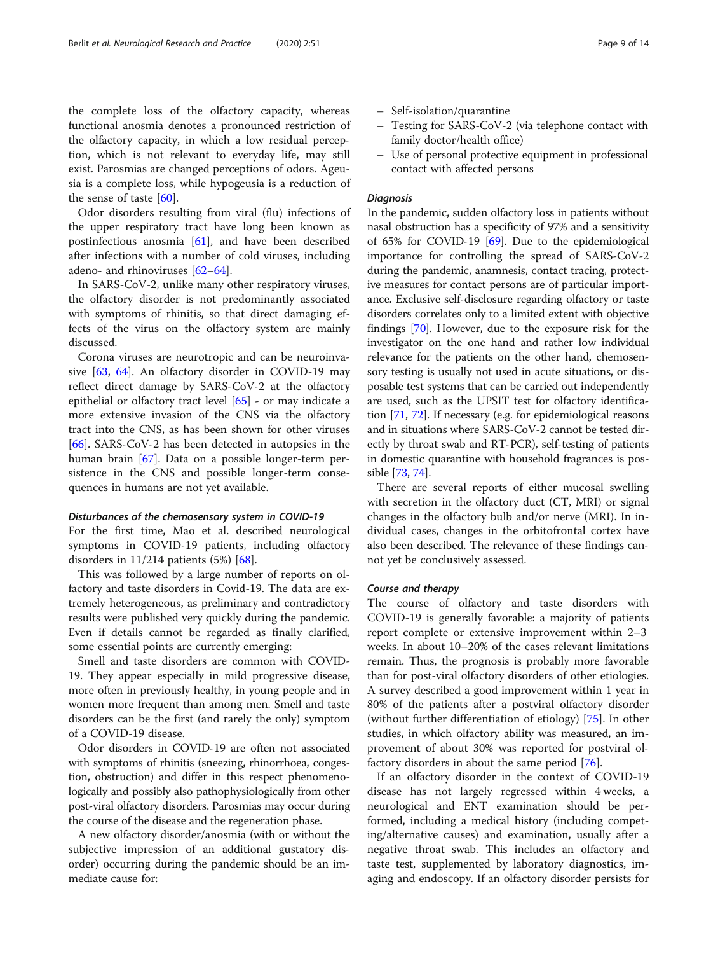the complete loss of the olfactory capacity, whereas functional anosmia denotes a pronounced restriction of the olfactory capacity, in which a low residual perception, which is not relevant to everyday life, may still exist. Parosmias are changed perceptions of odors. Ageusia is a complete loss, while hypogeusia is a reduction of the sense of taste [\[60\]](#page-12-0).

Odor disorders resulting from viral (flu) infections of the upper respiratory tract have long been known as postinfectious anosmia [[61](#page-12-0)], and have been described after infections with a number of cold viruses, including adeno- and rhinoviruses [[62](#page-12-0)–[64](#page-12-0)].

In SARS-CoV-2, unlike many other respiratory viruses, the olfactory disorder is not predominantly associated with symptoms of rhinitis, so that direct damaging effects of the virus on the olfactory system are mainly discussed.

Corona viruses are neurotropic and can be neuroinvasive [[63,](#page-12-0) [64](#page-12-0)]. An olfactory disorder in COVID-19 may reflect direct damage by SARS-CoV-2 at the olfactory epithelial or olfactory tract level [\[65\]](#page-12-0) - or may indicate a more extensive invasion of the CNS via the olfactory tract into the CNS, as has been shown for other viruses [[66\]](#page-12-0). SARS-CoV-2 has been detected in autopsies in the human brain [\[67\]](#page-12-0). Data on a possible longer-term persistence in the CNS and possible longer-term consequences in humans are not yet available.

#### Disturbances of the chemosensory system in COVID-19

For the first time, Mao et al. described neurological symptoms in COVID-19 patients, including olfactory disorders in  $11/214$  patients (5%) [\[68](#page-12-0)].

This was followed by a large number of reports on olfactory and taste disorders in Covid-19. The data are extremely heterogeneous, as preliminary and contradictory results were published very quickly during the pandemic. Even if details cannot be regarded as finally clarified, some essential points are currently emerging:

Smell and taste disorders are common with COVID-19. They appear especially in mild progressive disease, more often in previously healthy, in young people and in women more frequent than among men. Smell and taste disorders can be the first (and rarely the only) symptom of a COVID-19 disease.

Odor disorders in COVID-19 are often not associated with symptoms of rhinitis (sneezing, rhinorrhoea, congestion, obstruction) and differ in this respect phenomenologically and possibly also pathophysiologically from other post-viral olfactory disorders. Parosmias may occur during the course of the disease and the regeneration phase.

A new olfactory disorder/anosmia (with or without the subjective impression of an additional gustatory disorder) occurring during the pandemic should be an immediate cause for:

- Self-isolation/quarantine
- Testing for SARS-CoV-2 (via telephone contact with family doctor/health office)
- Use of personal protective equipment in professional contact with affected persons

# **Diagnosis**

In the pandemic, sudden olfactory loss in patients without nasal obstruction has a specificity of 97% and a sensitivity of 65% for COVID-19 [[69](#page-12-0)]. Due to the epidemiological importance for controlling the spread of SARS-CoV-2 during the pandemic, anamnesis, contact tracing, protective measures for contact persons are of particular importance. Exclusive self-disclosure regarding olfactory or taste disorders correlates only to a limited extent with objective findings [[70](#page-12-0)]. However, due to the exposure risk for the investigator on the one hand and rather low individual relevance for the patients on the other hand, chemosensory testing is usually not used in acute situations, or disposable test systems that can be carried out independently are used, such as the UPSIT test for olfactory identification [[71](#page-12-0), [72](#page-12-0)]. If necessary (e.g. for epidemiological reasons and in situations where SARS-CoV-2 cannot be tested directly by throat swab and RT-PCR), self-testing of patients in domestic quarantine with household fragrances is possible [\[73](#page-13-0), [74](#page-13-0)].

There are several reports of either mucosal swelling with secretion in the olfactory duct (CT, MRI) or signal changes in the olfactory bulb and/or nerve (MRI). In individual cases, changes in the orbitofrontal cortex have also been described. The relevance of these findings cannot yet be conclusively assessed.

# Course and therapy

The course of olfactory and taste disorders with COVID-19 is generally favorable: a majority of patients report complete or extensive improvement within 2–3 weeks. In about 10–20% of the cases relevant limitations remain. Thus, the prognosis is probably more favorable than for post-viral olfactory disorders of other etiologies. A survey described a good improvement within 1 year in 80% of the patients after a postviral olfactory disorder (without further differentiation of etiology) [\[75\]](#page-13-0). In other studies, in which olfactory ability was measured, an improvement of about 30% was reported for postviral olfactory disorders in about the same period [[76\]](#page-13-0).

If an olfactory disorder in the context of COVID-19 disease has not largely regressed within 4 weeks, a neurological and ENT examination should be performed, including a medical history (including competing/alternative causes) and examination, usually after a negative throat swab. This includes an olfactory and taste test, supplemented by laboratory diagnostics, imaging and endoscopy. If an olfactory disorder persists for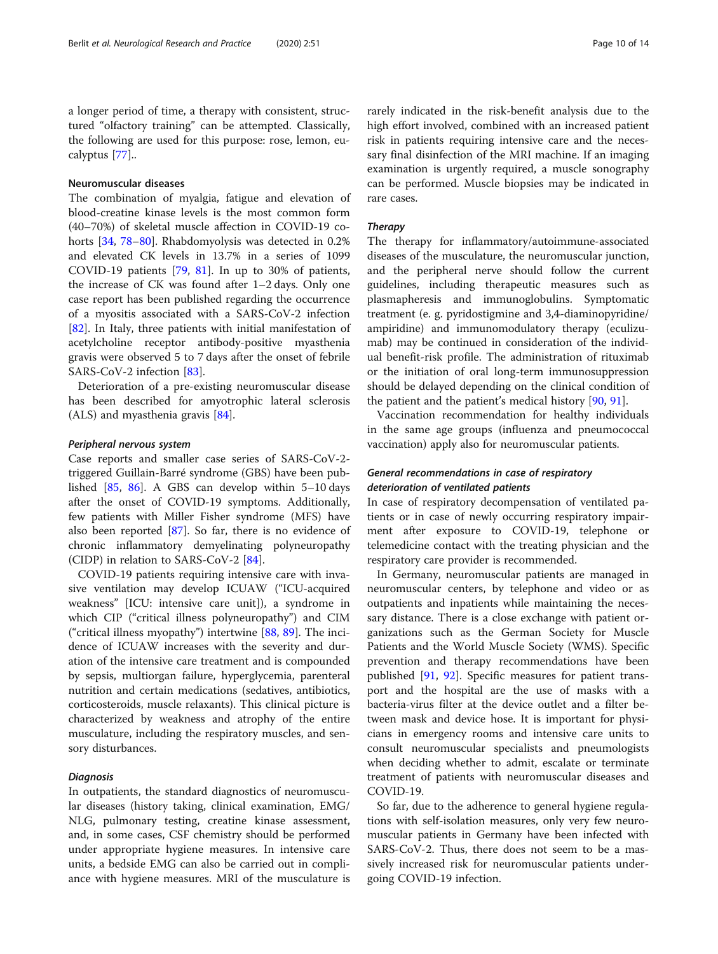a longer period of time, a therapy with consistent, structured "olfactory training" can be attempted. Classically, the following are used for this purpose: rose, lemon, eucalyptus [\[77\]](#page-13-0)..

# Neuromuscular diseases

The combination of myalgia, fatigue and elevation of blood-creatine kinase levels is the most common form (40–70%) of skeletal muscle affection in COVID-19 cohorts [\[34](#page-12-0), [78](#page-13-0)–[80\]](#page-13-0). Rhabdomyolysis was detected in 0.2% and elevated CK levels in 13.7% in a series of 1099 COVID-19 patients [[79,](#page-13-0) [81](#page-13-0)]. In up to 30% of patients, the increase of CK was found after 1–2 days. Only one case report has been published regarding the occurrence of a myositis associated with a SARS-CoV-2 infection [[82\]](#page-13-0). In Italy, three patients with initial manifestation of acetylcholine receptor antibody-positive myasthenia gravis were observed 5 to 7 days after the onset of febrile SARS-CoV-2 infection [\[83](#page-13-0)].

Deterioration of a pre-existing neuromuscular disease has been described for amyotrophic lateral sclerosis (ALS) and myasthenia gravis [\[84\]](#page-13-0).

#### Peripheral nervous system

Case reports and smaller case series of SARS-CoV-2 triggered Guillain-Barré syndrome (GBS) have been published [\[85,](#page-13-0) [86](#page-13-0)]. A GBS can develop within 5–10 days after the onset of COVID-19 symptoms. Additionally, few patients with Miller Fisher syndrome (MFS) have also been reported  $[87]$  $[87]$ . So far, there is no evidence of chronic inflammatory demyelinating polyneuropathy (CIDP) in relation to SARS-CoV-2 [[84](#page-13-0)].

COVID-19 patients requiring intensive care with invasive ventilation may develop ICUAW ("ICU-acquired weakness" [ICU: intensive care unit]), a syndrome in which CIP ("critical illness polyneuropathy") and CIM ("critical illness myopathy") intertwine  $[88, 89]$  $[88, 89]$  $[88, 89]$  $[88, 89]$ . The incidence of ICUAW increases with the severity and duration of the intensive care treatment and is compounded by sepsis, multiorgan failure, hyperglycemia, parenteral nutrition and certain medications (sedatives, antibiotics, corticosteroids, muscle relaxants). This clinical picture is characterized by weakness and atrophy of the entire musculature, including the respiratory muscles, and sensory disturbances.

#### Diagnosis

In outpatients, the standard diagnostics of neuromuscular diseases (history taking, clinical examination, EMG/ NLG, pulmonary testing, creatine kinase assessment, and, in some cases, CSF chemistry should be performed under appropriate hygiene measures. In intensive care units, a bedside EMG can also be carried out in compliance with hygiene measures. MRI of the musculature is

rarely indicated in the risk-benefit analysis due to the high effort involved, combined with an increased patient risk in patients requiring intensive care and the necessary final disinfection of the MRI machine. If an imaging examination is urgently required, a muscle sonography can be performed. Muscle biopsies may be indicated in rare cases.

#### **Therapy**

The therapy for inflammatory/autoimmune-associated diseases of the musculature, the neuromuscular junction, and the peripheral nerve should follow the current guidelines, including therapeutic measures such as plasmapheresis and immunoglobulins. Symptomatic treatment (e. g. pyridostigmine and 3,4-diaminopyridine/ ampiridine) and immunomodulatory therapy (eculizumab) may be continued in consideration of the individual benefit-risk profile. The administration of rituximab or the initiation of oral long-term immunosuppression should be delayed depending on the clinical condition of the patient and the patient's medical history [\[90](#page-13-0), [91](#page-13-0)].

Vaccination recommendation for healthy individuals in the same age groups (influenza and pneumococcal vaccination) apply also for neuromuscular patients.

# General recommendations in case of respiratory deterioration of ventilated patients

In case of respiratory decompensation of ventilated patients or in case of newly occurring respiratory impairment after exposure to COVID-19, telephone or telemedicine contact with the treating physician and the respiratory care provider is recommended.

In Germany, neuromuscular patients are managed in neuromuscular centers, by telephone and video or as outpatients and inpatients while maintaining the necessary distance. There is a close exchange with patient organizations such as the German Society for Muscle Patients and the World Muscle Society (WMS). Specific prevention and therapy recommendations have been published [[91,](#page-13-0) [92\]](#page-13-0). Specific measures for patient transport and the hospital are the use of masks with a bacteria-virus filter at the device outlet and a filter between mask and device hose. It is important for physicians in emergency rooms and intensive care units to consult neuromuscular specialists and pneumologists when deciding whether to admit, escalate or terminate treatment of patients with neuromuscular diseases and COVID-19.

So far, due to the adherence to general hygiene regulations with self-isolation measures, only very few neuromuscular patients in Germany have been infected with SARS-CoV-2. Thus, there does not seem to be a massively increased risk for neuromuscular patients undergoing COVID-19 infection.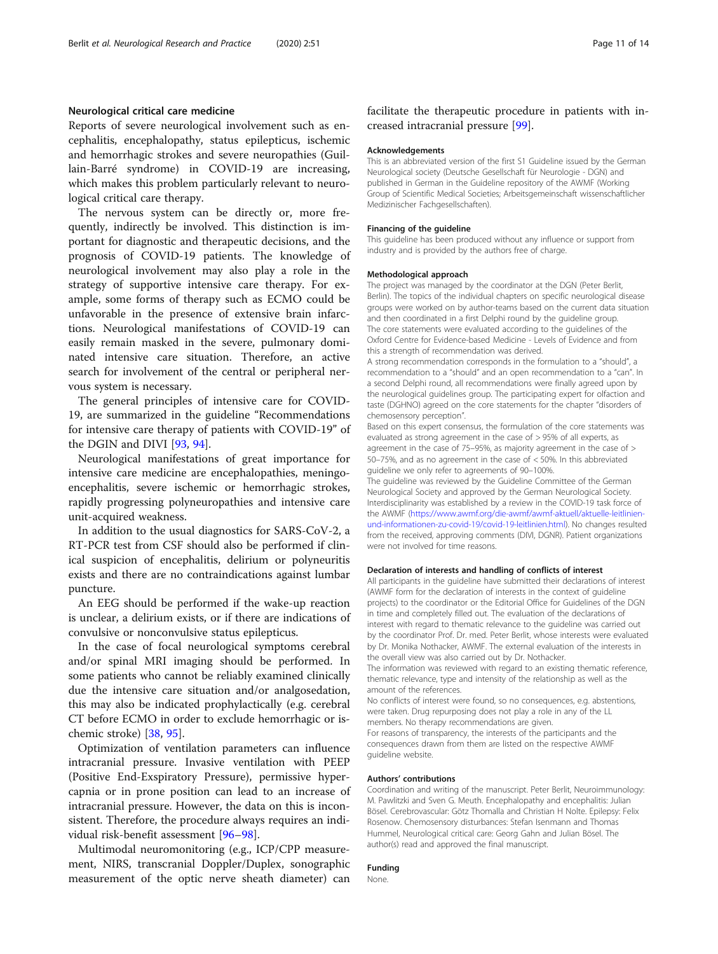# Neurological critical care medicine

Reports of severe neurological involvement such as encephalitis, encephalopathy, status epilepticus, ischemic and hemorrhagic strokes and severe neuropathies (Guillain-Barré syndrome) in COVID-19 are increasing, which makes this problem particularly relevant to neurological critical care therapy.

The nervous system can be directly or, more frequently, indirectly be involved. This distinction is important for diagnostic and therapeutic decisions, and the prognosis of COVID-19 patients. The knowledge of neurological involvement may also play a role in the strategy of supportive intensive care therapy. For example, some forms of therapy such as ECMO could be unfavorable in the presence of extensive brain infarctions. Neurological manifestations of COVID-19 can easily remain masked in the severe, pulmonary dominated intensive care situation. Therefore, an active search for involvement of the central or peripheral nervous system is necessary.

The general principles of intensive care for COVID-19, are summarized in the guideline "Recommendations for intensive care therapy of patients with COVID-19" of the DGIN and DIVI [\[93,](#page-13-0) [94\]](#page-13-0).

Neurological manifestations of great importance for intensive care medicine are encephalopathies, meningoencephalitis, severe ischemic or hemorrhagic strokes, rapidly progressing polyneuropathies and intensive care unit-acquired weakness.

In addition to the usual diagnostics for SARS-CoV-2, a RT-PCR test from CSF should also be performed if clinical suspicion of encephalitis, delirium or polyneuritis exists and there are no contraindications against lumbar puncture.

An EEG should be performed if the wake-up reaction is unclear, a delirium exists, or if there are indications of convulsive or nonconvulsive status epilepticus.

In the case of focal neurological symptoms cerebral and/or spinal MRI imaging should be performed. In some patients who cannot be reliably examined clinically due the intensive care situation and/or analgosedation, this may also be indicated prophylactically (e.g. cerebral CT before ECMO in order to exclude hemorrhagic or ischemic stroke) [\[38](#page-12-0), [95\]](#page-13-0).

Optimization of ventilation parameters can influence intracranial pressure. Invasive ventilation with PEEP (Positive End-Exspiratory Pressure), permissive hypercapnia or in prone position can lead to an increase of intracranial pressure. However, the data on this is inconsistent. Therefore, the procedure always requires an individual risk-benefit assessment [[96](#page-13-0)–[98](#page-13-0)].

Multimodal neuromonitoring (e.g., ICP/CPP measurement, NIRS, transcranial Doppler/Duplex, sonographic measurement of the optic nerve sheath diameter) can facilitate the therapeutic procedure in patients with increased intracranial pressure [[99\]](#page-13-0).

#### Acknowledgements

This is an abbreviated version of the first S1 Guideline issued by the German Neurological society (Deutsche Gesellschaft für Neurologie - DGN) and published in German in the Guideline repository of the AWMF (Working Group of Scientific Medical Societies; Arbeitsgemeinschaft wissenschaftlicher Medizinischer Fachgesellschaften).

#### Financing of the guideline

This guideline has been produced without any influence or support from industry and is provided by the authors free of charge.

#### Methodological approach

The project was managed by the coordinator at the DGN (Peter Berlit, Berlin). The topics of the individual chapters on specific neurological disease groups were worked on by author-teams based on the current data situation and then coordinated in a first Delphi round by the guideline group. The core statements were evaluated according to the guidelines of the Oxford Centre for Evidence-based Medicine - Levels of Evidence and from this a strength of recommendation was derived.

A strong recommendation corresponds in the formulation to a "should", a recommendation to a "should" and an open recommendation to a "can". In a second Delphi round, all recommendations were finally agreed upon by the neurological guidelines group. The participating expert for olfaction and taste (DGHNO) agreed on the core statements for the chapter "disorders of chemosensory perception".

Based on this expert consensus, the formulation of the core statements was evaluated as strong agreement in the case of > 95% of all experts, as agreement in the case of 75–95%, as majority agreement in the case of > 50–75%, and as no agreement in the case of < 50%. In this abbreviated guideline we only refer to agreements of 90–100%.

The guideline was reviewed by the Guideline Committee of the German Neurological Society and approved by the German Neurological Society. Interdisciplinarity was established by a review in the COVID-19 task force of the AWMF ([https://www.awmf.org/die-awmf/awmf-aktuell/aktuelle-leitlinien](https://www.awmf.org/die-awmf/awmf-aktuell/aktuelle-leitlinien-und-informationen-zu-covid-19/covid-19-leitlinien.html)[und-informationen-zu-covid-19/covid-19-leitlinien.html](https://www.awmf.org/die-awmf/awmf-aktuell/aktuelle-leitlinien-und-informationen-zu-covid-19/covid-19-leitlinien.html)). No changes resulted from the received, approving comments (DIVI, DGNR). Patient organizations were not involved for time reasons.

# Declaration of interests and handling of conflicts of interest

All participants in the guideline have submitted their declarations of interest (AWMF form for the declaration of interests in the context of guideline projects) to the coordinator or the Editorial Office for Guidelines of the DGN in time and completely filled out. The evaluation of the declarations of interest with regard to thematic relevance to the guideline was carried out by the coordinator Prof. Dr. med. Peter Berlit, whose interests were evaluated by Dr. Monika Nothacker, AWMF. The external evaluation of the interests in the overall view was also carried out by Dr. Nothacker.

The information was reviewed with regard to an existing thematic reference, thematic relevance, type and intensity of the relationship as well as the amount of the references.

No conflicts of interest were found, so no consequences, e.g. abstentions, were taken. Drug repurposing does not play a role in any of the LL members. No therapy recommendations are given.

For reasons of transparency, the interests of the participants and the consequences drawn from them are listed on the respective AWMF guideline website.

#### Authors' contributions

Coordination and writing of the manuscript. Peter Berlit, Neuroimmunology: M. Pawlitzki and Sven G. Meuth. Encephalopathy and encephalitis: Julian Bösel. Cerebrovascular: Götz Thomalla and Christian H Nolte. Epilepsy: Felix Rosenow. Chemosensory disturbances: Stefan Isenmann and Thomas Hummel, Neurological critical care: Georg Gahn and Julian Bösel. The author(s) read and approved the final manuscript.

# Funding

None.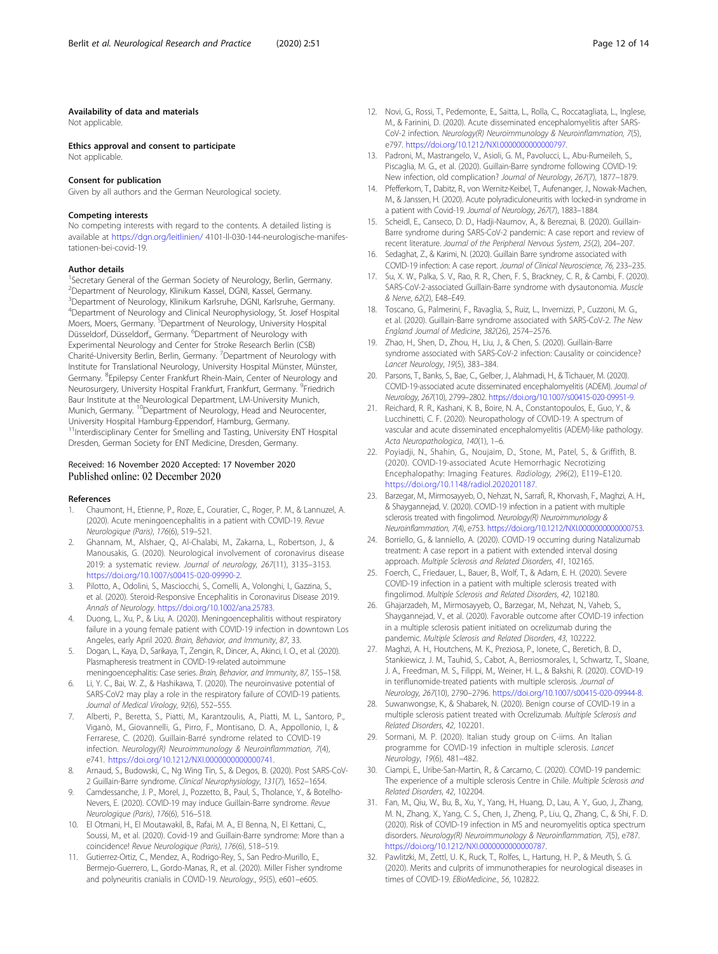#### <span id="page-11-0"></span>Availability of data and materials

Not applicable.

#### Ethics approval and consent to participate

Not applicable

#### Consent for publication

Given by all authors and the German Neurological society.

#### Competing interests

No competing interests with regard to the contents. A detailed listing is available at <https://dgn.org/leitlinien/> 4101-ll-030-144-neurologische-manifestationen-bei-covid-19.

#### Author details

<sup>1</sup>Secretary General of the German Society of Neurology, Berlin, Germany. 2 Department of Neurology, Klinikum Kassel, DGNI, Kassel, Germany. <sup>3</sup>Department of Neurology, Klinikum Karlsruhe, DGNI, Karlsruhe, Germany. 4 Department of Neurology and Clinical Neurophysiology, St. Josef Hospital Moers, Moers, Germany. <sup>5</sup> Department of Neurology, University Hospital Düsseldorf, Düsseldorf,, Germany. <sup>6</sup>Department of Neurology with Experimental Neurology and Center for Stroke Research Berlin (CSB) Charité-University Berlin, Berlin, Germany. <sup>7</sup>Department of Neurology with Institute for Translational Neurology, University Hospital Münster, Münster, Germany. <sup>8</sup>Epilepsy Center Frankfurt Rhein-Main, Center of Neurology and Neurosurgery, University Hospital Frankfurt, Frankfurt, Germany. <sup>9</sup>Friedrich Baur Institute at the Neurological Department, LM-University Munich, Munich, Germany. <sup>10</sup>Department of Neurology, Head and Neurocenter, University Hospital Hamburg-Eppendorf, Hamburg, Germany. <sup>11</sup>Interdisciplinary Center for Smelling and Tasting, University ENT Hospital Dresden, German Society for ENT Medicine, Dresden, Germany.

#### Received: 16 November 2020 Accepted: 17 November 2020 Published online: 02 December 2020

#### References

- 1. Chaumont, H., Etienne, P., Roze, E., Couratier, C., Roger, P. M., & Lannuzel, A. (2020). Acute meningoencephalitis in a patient with COVID-19. Revue Neurologique (Paris), 176(6), 519–521.
- 2. Ghannam, M., Alshaer, Q., Al-Chalabi, M., Zakarna, L., Robertson, J., & Manousakis, G. (2020). Neurological involvement of coronavirus disease 2019: a systematic review. Journal of neurology, 267(11), 3135–3153. <https://doi.org/10.1007/s00415-020-09990-2>.
- 3. Pilotto, A., Odolini, S., Masciocchi, S., Comelli, A., Volonghi, I., Gazzina, S., et al. (2020). Steroid-Responsive Encephalitis in Coronavirus Disease 2019. Annals of Neurology. <https://doi.org/10.1002/ana.25783>.
- Duong, L., Xu, P., & Liu, A. (2020). Meningoencephalitis without respiratory failure in a young female patient with COVID-19 infection in downtown Los Angeles, early April 2020. Brain, Behavior, and Immunity, 87, 33.
- 5. Dogan, L., Kaya, D., Sarikaya, T., Zengin, R., Dincer, A., Akinci, I. O., et al. (2020). Plasmapheresis treatment in COVID-19-related autoimmune meningoencephalitis: Case series. Brain, Behavior, and Immunity, 87, 155–158.
- Li, Y. C., Bai, W. Z., & Hashikawa, T. (2020). The neuroinvasive potential of SARS-CoV2 may play a role in the respiratory failure of COVID-19 patients. Journal of Medical Virology, 92(6), 552–555.
- 7. Alberti, P., Beretta, S., Piatti, M., Karantzoulis, A., Piatti, M. L., Santoro, P., Viganò, M., Giovannelli, G., Pirro, F., Montisano, D. A., Appollonio, I., & Ferrarese, C. (2020). Guillain-Barré syndrome related to COVID-19 infection. Neurology(R) Neuroimmunology & Neuroinflammation, 7(4), e741. [https://doi.org/10.1212/NXI.0000000000000741.](https://doi.org/10.1212/NXI.0000000000000741)
- Arnaud, S., Budowski, C., Ng Wing Tin, S., & Degos, B. (2020). Post SARS-CoV-2 Guillain-Barre syndrome. Clinical Neurophysiology, 131(7), 1652–1654.
- Camdessanche, J. P., Morel, J., Pozzetto, B., Paul, S., Tholance, Y., & Botelho-Nevers, E. (2020). COVID-19 may induce Guillain-Barre syndrome. Revue Neurologique (Paris), 176(6), 516–518.
- 10. El Otmani, H., El Moutawakil, B., Rafai, M. A., El Benna, N., El Kettani, C., Soussi, M., et al. (2020). Covid-19 and Guillain-Barre syndrome: More than a coincidence! Revue Neurologique (Paris), 176(6), 518–519.
- 11. Gutierrez-Ortiz, C., Mendez, A., Rodrigo-Rey, S., San Pedro-Murillo, E., Bermejo-Guerrero, L., Gordo-Manas, R., et al. (2020). Miller Fisher syndrome and polyneuritis cranialis in COVID-19. Neurology., 95(5), e601–e605.
- 12. Novi, G., Rossi, T., Pedemonte, E., Saitta, L., Rolla, C., Roccatagliata, L., Inglese, M., & Farinini, D. (2020). Acute disseminated encephalomyelitis after SARS-CoV-2 infection. Neurology(R) Neuroimmunology & Neuroinflammation, 7(5), e797. [https://doi.org/10.1212/NXI.0000000000000797.](https://doi.org/10.1212/NXI.0000000000000797)
- 13. Padroni, M., Mastrangelo, V., Asioli, G. M., Pavolucci, L., Abu-Rumeileh, S., Piscaglia, M. G., et al. (2020). Guillain-Barre syndrome following COVID-19: New infection, old complication? Journal of Neurology, 267(7), 1877–1879.
- 14. Pfefferkorn, T., Dabitz, R., von Wernitz-Keibel, T., Aufenanger, J., Nowak-Machen, M., & Janssen, H. (2020). Acute polyradiculoneuritis with locked-in syndrome in a patient with Covid-19. Journal of Neurology, 267(7), 1883–1884.
- 15. Scheidl, E., Canseco, D. D., Hadji-Naumov, A., & Bereznai, B. (2020). Guillain-Barre syndrome during SARS-CoV-2 pandemic: A case report and review of recent literature. Journal of the Peripheral Nervous System, 25(2), 204–207.
- 16. Sedaghat, Z., & Karimi, N. (2020). Guillain Barre syndrome associated with COVID-19 infection: A case report. Journal of Clinical Neuroscience, 76, 233–235.
- 17. Su, X. W., Palka, S. V., Rao, R. R., Chen, F. S., Brackney, C. R., & Cambi, F. (2020). SARS-CoV-2-associated Guillain-Barre syndrome with dysautonomia. Muscle & Nerve, 62(2), E48–E49.
- 18. Toscano, G., Palmerini, F., Ravaglia, S., Ruiz, L., Invernizzi, P., Cuzzoni, M. G., et al. (2020). Guillain-Barre syndrome associated with SARS-CoV-2. The New England Journal of Medicine, 382(26), 2574–2576.
- 19. Zhao, H., Shen, D., Zhou, H., Liu, J., & Chen, S. (2020). Guillain-Barre syndrome associated with SARS-CoV-2 infection: Causality or coincidence? Lancet Neurology, 19(5), 383–384.
- 20. Parsons, T., Banks, S., Bae, C., Gelber, J., Alahmadi, H., & Tichauer, M. (2020). COVID-19-associated acute disseminated encephalomyelitis (ADEM). Journal of Neurology, 267(10), 2799–2802. [https://doi.org/10.1007/s00415-020-09951-9.](https://doi.org/10.1007/s00415-020-09951-9)
- 21. Reichard, R. R., Kashani, K. B., Boire, N. A., Constantopoulos, E., Guo, Y., & Lucchinetti, C. F. (2020). Neuropathology of COVID-19: A spectrum of vascular and acute disseminated encephalomyelitis (ADEM)-like pathology. Acta Neuropathologica, 140(1), 1–6.
- 22. Poyiadji, N., Shahin, G., Noujaim, D., Stone, M., Patel, S., & Griffith, B. (2020). COVID-19-associated Acute Hemorrhagic Necrotizing Encephalopathy: Imaging Features. Radiology, 296(2), E119–E120. <https://doi.org/10.1148/radiol.2020201187>.
- 23. Barzegar, M., Mirmosayyeb, O., Nehzat, N., Sarrafi, R., Khorvash, F., Maghzi, A. H., & Shaygannejad, V. (2020). COVID-19 infection in a patient with multiple sclerosis treated with fingolimod. Neurology(R) Neuroimmunology & Neuroinflammation, 7(4), e753. <https://doi.org/10.1212/NXI.0000000000000753>.
- 24. Borriello, G., & Ianniello, A. (2020). COVID-19 occurring during Natalizumab treatment: A case report in a patient with extended interval dosing approach. Multiple Sclerosis and Related Disorders, 41, 102165.
- 25. Foerch, C., Friedauer, L., Bauer, B., Wolf, T., & Adam, E. H. (2020). Severe COVID-19 infection in a patient with multiple sclerosis treated with fingolimod. Multiple Sclerosis and Related Disorders, 42, 102180.
- 26. Ghajarzadeh, M., Mirmosayyeb, O., Barzegar, M., Nehzat, N., Vaheb, S., Shaygannejad, V., et al. (2020). Favorable outcome after COVID-19 infection in a multiple sclerosis patient initiated on ocrelizumab during the pandemic. Multiple Sclerosis and Related Disorders, 43, 102222.
- 27. Maghzi, A. H., Houtchens, M. K., Preziosa, P., Ionete, C., Beretich, B. D., Stankiewicz, J. M., Tauhid, S., Cabot, A., Berriosmorales, I., Schwartz, T., Sloane, J. A., Freedman, M. S., Filippi, M., Weiner, H. L., & Bakshi, R. (2020). COVID-19 in teriflunomide-treated patients with multiple sclerosis. Journal of Neurology, 267(10), 2790–2796. [https://doi.org/10.1007/s00415-020-09944-8.](https://doi.org/10.1007/s00415-020-09944-8)
- 28. Suwanwongse, K., & Shabarek, N. (2020). Benign course of COVID-19 in a multiple sclerosis patient treated with Ocrelizumab. Multiple Sclerosis and Related Disorders, 42, 102201.
- 29. Sormani, M. P. (2020). Italian study group on C-iims. An Italian programme for COVID-19 infection in multiple sclerosis. Lancet Neurology, 19(6), 481–482.
- 30. Ciampi, E., Uribe-San-Martin, R., & Carcamo, C. (2020). COVID-19 pandemic: The experience of a multiple sclerosis Centre in Chile. Multiple Sclerosis and Related Disorders, 42, 102204.
- 31. Fan, M., Qiu, W., Bu, B., Xu, Y., Yang, H., Huang, D., Lau, A. Y., Guo, J., Zhang, M. N., Zhang, X., Yang, C. S., Chen, J., Zheng, P., Liu, Q., Zhang, C., & Shi, F. D. (2020). Risk of COVID-19 infection in MS and neuromyelitis optica spectrum disorders. Neurology(R) Neuroimmunology & Neuroinflammation, 7(5), e787. [https://doi.org/10.1212/NXI.0000000000000787.](https://doi.org/10.1212/NXI.0000000000000787)
- 32. Pawlitzki, M., Zettl, U. K., Ruck, T., Rolfes, L., Hartung, H. P., & Meuth, S. G. (2020). Merits and culprits of immunotherapies for neurological diseases in times of COVID-19. EBioMedicine., 56, 102822.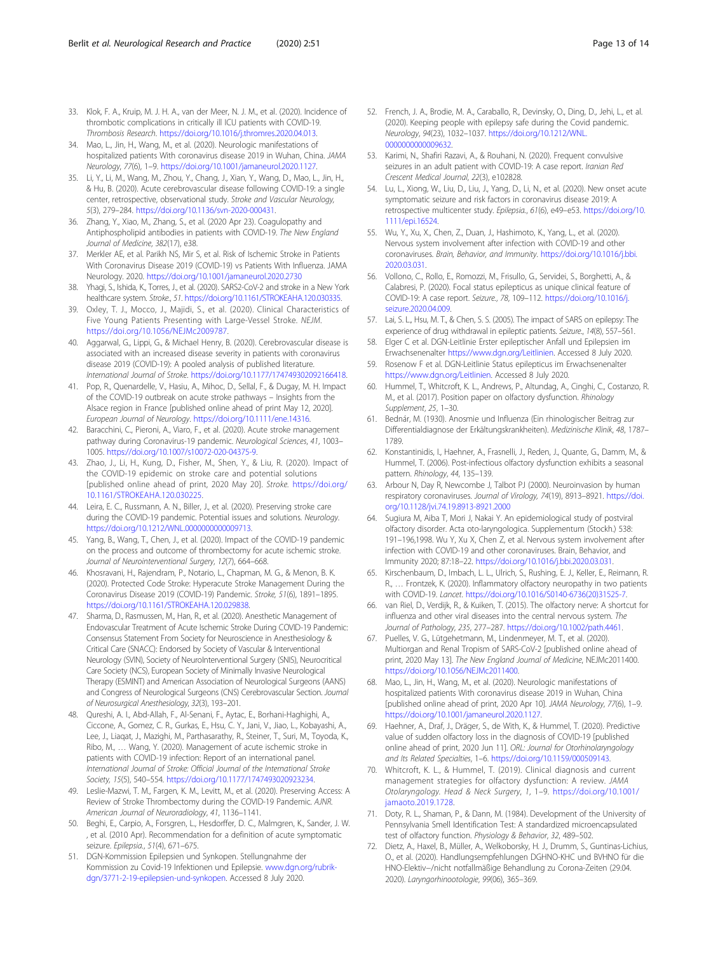- <span id="page-12-0"></span>33. Klok, F. A., Kruip, M. J. H. A., van der Meer, N. J. M., et al. (2020). Incidence of thrombotic complications in critically ill ICU patients with COVID-19. Thrombosis Research. <https://doi.org/10.1016/j.thromres.2020.04.013>.
- 34. Mao, L., Jin, H., Wang, M., et al. (2020). Neurologic manifestations of hospitalized patients With coronavirus disease 2019 in Wuhan, China. JAMA Neurology, 77(6), 1–9. <https://doi.org/10.1001/jamaneurol.2020.1127>.
- 35. Li, Y., Li, M., Wang, M., Zhou, Y., Chang, J., Xian, Y., Wang, D., Mao, L., Jin, H., & Hu, B. (2020). Acute cerebrovascular disease following COVID-19: a single center, retrospective, observational study. Stroke and Vascular Neurology, 5(3), 279–284. [https://doi.org/10.1136/svn-2020-000431.](https://doi.org/10.1136/svn-2020-000431)
- 36. Zhang, Y., Xiao, M., Zhang, S., et al. (2020 Apr 23). Coagulopathy and Antiphospholipid antibodies in patients with COVID-19. The New England Journal of Medicine, 382(17), e38.
- 37. Merkler AE, et al. Parikh NS, Mir S, et al. Risk of Ischemic Stroke in Patients With Coronavirus Disease 2019 (COVID-19) vs Patients With Influenza. JAMA Neurology. 2020. <https://doi.org/10.1001/jamaneurol.2020.2730>
- 38. Yhagi, S., Ishida, K., Torres, J., et al. (2020). SARS2-CoV-2 and stroke in a New York healthcare system. Stroke., 51. [https://doi.org/10.1161/STROKEAHA.120.030335.](https://doi.org/10.1161/STROKEAHA.120.030335)
- 39. Oxley, T. J., Mocco, J., Majidi, S., et al. (2020). Clinical Characteristics of Five Young Patients Presenting with Large-Vessel Stroke. NEJM. [https://doi.org/10.1056/NEJMc2009787.](https://doi.org/10.1056/NEJMc2009787)
- 40. Aggarwal, G., Lippi, G., & Michael Henry, B. (2020). Cerebrovascular disease is associated with an increased disease severity in patients with coronavirus disease 2019 (COVID-19): A pooled analysis of published literature. International Journal of Stroke. <https://doi.org/10.1177/174749302092166418>.
- 41. Pop, R., Quenardelle, V., Hasiu, A., Mihoc, D., Sellal, F., & Dugay, M. H. Impact of the COVID-19 outbreak on acute stroke pathways – Insights from the Alsace region in France [published online ahead of print May 12, 2020]. European Journal of Neurology. [https://doi.org/10.1111/ene.14316.](https://doi.org/10.1111/ene.14316)
- 42. Baracchini, C., Pieroni, A., Viaro, F., et al. (2020). Acute stroke management pathway during Coronavirus-19 pandemic. Neurological Sciences, 41, 1003– 1005. <https://doi.org/10.1007/s10072-020-04375-9>.
- 43. Zhao, J., Li, H., Kung, D., Fisher, M., Shen, Y., & Liu, R. (2020). Impact of the COVID-19 epidemic on stroke care and potential solutions [published online ahead of print, 2020 May 20]. Stroke. [https://doi.org/](https://doi.org/10.1161/STROKEAHA.120.030225) [10.1161/STROKEAHA.120.030225](https://doi.org/10.1161/STROKEAHA.120.030225).
- 44. Leira, E. C., Russmann, A. N., Biller, J., et al. (2020). Preserving stroke care during the COVID-19 pandemic. Potential issues and solutions. Neurology. <https://doi.org/10.1212/WNL.0000000000009713>.
- 45. Yang, B., Wang, T., Chen, J., et al. (2020). Impact of the COVID-19 pandemic on the process and outcome of thrombectomy for acute ischemic stroke. Journal of Neurointerventional Surgery, 12(7), 664–668.
- 46. Khosravani, H., Rajendram, P., Notario, L., Chapman, M. G., & Menon, B. K. (2020). Protected Code Stroke: Hyperacute Stroke Management During the Coronavirus Disease 2019 (COVID-19) Pandemic. Stroke, 51(6), 1891–1895. <https://doi.org/10.1161/STROKEAHA.120.029838>.
- 47. Sharma, D., Rasmussen, M., Han, R., et al. (2020). Anesthetic Management of Endovascular Treatment of Acute Ischemic Stroke During COVID-19 Pandemic: Consensus Statement From Society for Neuroscience in Anesthesiology & Critical Care (SNACC): Endorsed by Society of Vascular & Interventional Neurology (SVIN), Society of NeuroInterventional Surgery (SNIS), Neurocritical Care Society (NCS), European Society of Minimally Invasive Neurological Therapy (ESMINT) and American Association of Neurological Surgeons (AANS) and Congress of Neurological Surgeons (CNS) Cerebrovascular Section. Journal of Neurosurgical Anesthesiology, 32(3), 193–201.
- 48. Qureshi, A. I., Abd-Allah, F., Al-Senani, F., Aytac, E., Borhani-Haghighi, A., Ciccone, A., Gomez, C. R., Gurkas, E., Hsu, C. Y., Jani, V., Jiao, L., Kobayashi, A., Lee, J., Liaqat, J., Mazighi, M., Parthasarathy, R., Steiner, T., Suri, M., Toyoda, K., Ribo, M., … Wang, Y. (2020). Management of acute ischemic stroke in patients with COVID-19 infection: Report of an international panel. International Journal of Stroke: Official Journal of the International Stroke Society, 15(5), 540–554. <https://doi.org/10.1177/1747493020923234>.
- 49. Leslie-Mazwi, T. M., Fargen, K. M., Levitt, M., et al. (2020). Preserving Access: A Review of Stroke Thrombectomy during the COVID-19 Pandemic. AJNR. American Journal of Neuroradiology, 41, 1136–1141.
- 50. Beghi, E., Carpio, A., Forsgren, L., Hesdorffer, D. C., Malmgren, K., Sander, J. W. , et al. (2010 Apr). Recommendation for a definition of acute symptomatic seizure. Epilepsia., 51(4), 671–675.
- 51. DGN-Kommission Epilepsien und Synkopen. Stellungnahme der Kommission zu Covid-19 Infektionen und Epilepsie. [www.dgn.org/rubrik](http://www.dgn.org/rubrik-dgn/3771-2-19-epilepsien-und-synkopen)[dgn/3771-2-19-epilepsien-und-synkopen](http://www.dgn.org/rubrik-dgn/3771-2-19-epilepsien-und-synkopen). Accessed 8 July 2020.
- 52. French, J. A., Brodie, M. A., Caraballo, R., Devinsky, O., Ding, D., Jehi, L., et al. (2020). Keeping people with epilepsy safe during the Covid pandemic. Neurology, 94(23), 1032–1037. [https://doi.org/10.1212/WNL.](https://doi.org/10.1212/WNL.0000000000009632) [0000000000009632](https://doi.org/10.1212/WNL.0000000000009632).
- 53. Karimi, N., Shafiri Razavi, A., & Rouhani, N. (2020). Frequent convulsive seizures in an adult patient with COVID-19: A case report. Iranian Red Crescent Medical Journal, 22(3), e102828.
- 54. Lu, L., Xiong, W., Liu, D., Liu, J., Yang, D., Li, N., et al. (2020). New onset acute symptomatic seizure and risk factors in coronavirus disease 2019: A retrospective multicenter study. Epilepsia., 61(6), e49–e53. [https://doi.org/10.](https://doi.org/10.1111/epi.16524) [1111/epi.16524.](https://doi.org/10.1111/epi.16524)
- 55. Wu, Y., Xu, X., Chen, Z., Duan, J., Hashimoto, K., Yang, L., et al. (2020). Nervous system involvement after infection with COVID-19 and other coronaviruses. Brain, Behavior, and Immunity. [https://doi.org/10.1016/j.bbi.](https://doi.org/10.1016/j.bbi.2020.03.031) [2020.03.031.](https://doi.org/10.1016/j.bbi.2020.03.031)
- 56. Vollono, C., Rollo, E., Romozzi, M., Frisullo, G., Servidei, S., Borghetti, A., & Calabresi, P. (2020). Focal status epilepticus as unique clinical feature of COVID-19: A case report. Seizure., 78, 109–112. [https://doi.org/10.1016/j.](https://doi.org/10.1016/j.seizure.2020.04.009) [seizure.2020.04.009](https://doi.org/10.1016/j.seizure.2020.04.009).
- 57. Lai, S. L., Hsu, M. T., & Chen, S. S. (2005). The impact of SARS on epilepsy: The experience of drug withdrawal in epileptic patients. Seizure., 14(8), 557-561.
- 58. Elger C et al. DGN-Leitlinie Erster epileptischer Anfall und Epilepsien im Erwachsenenalter <https://www.dgn.org/Leitlinien>. Accessed 8 July 2020.
- 59. Rosenow F et al. DGN-Leitlinie Status epilepticus im Erwachsenenalter <https://www.dgn.org/Leitlinien>. Accessed 8 July 2020.
- 60. Hummel, T., Whitcroft, K. L., Andrews, P., Altundag, A., Cinghi, C., Costanzo, R. M., et al. (2017). Position paper on olfactory dysfunction. Rhinology Supplement, 25, 1–30.
- 61. Bednár, M. (1930). Anosmie und Influenza (Ein rhinologischer Beitrag zur Differentialdiagnose der Erkältungskrankheiten). Medizinische Klinik, 48, 1787– 1789.
- 62. Konstantinidis, I., Haehner, A., Frasnelli, J., Reden, J., Quante, G., Damm, M., & Hummel, T. (2006). Post-infectious olfactory dysfunction exhibits a seasonal pattern. Rhinology, 44, 135–139.
- 63. Arbour N, Day R, Newcombe J, Talbot PJ (2000). Neuroinvasion by human respiratory coronaviruses. Journal of Virology, 74(19), 8913–8921. [https://doi.](https://doi.org/10.1128/jvi.74.19.8913-8921.2000) [org/10.1128/jvi.74.19.8913-8921.2000](https://doi.org/10.1128/jvi.74.19.8913-8921.2000)
- Sugiura M, Aiba T, Mori J, Nakai Y. An epidemiological study of postviral olfactory disorder. Acta oto-laryngologica. Supplementum (Stockh.) 538: 191–196,1998. Wu Y, Xu X, Chen Z, et al. Nervous system involvement after infection with COVID-19 and other coronaviruses. Brain, Behavior, and Immunity 2020; 87:18–22. <https://doi.org/10.1016/j.bbi.2020.03.031>.
- 65. Kirschenbaum, D., Imbach, L. L., Ulrich, S., Rushing, E. J., Keller, E., Reimann, R. R., … Frontzek, K. (2020). Inflammatory olfactory neuropathy in two patients with COVID-19. Lancet. [https://doi.org/10.1016/S0140-6736\(20\)31525-7](https://doi.org/10.1016/S0140-6736(20)31525-7).
- 66. van Riel, D., Verdijk, R., & Kuiken, T. (2015). The olfactory nerve: A shortcut for influenza and other viral diseases into the central nervous system. The Journal of Pathology, 235, 277–287. [https://doi.org/10.1002/path.4461.](https://doi.org/10.1002/path.4461)
- 67. Puelles, V. G., Lütgehetmann, M., Lindenmeyer, M. T., et al. (2020). Multiorgan and Renal Tropism of SARS-CoV-2 [published online ahead of print, 2020 May 13]. The New England Journal of Medicine, NEJMc2011400. [https://doi.org/10.1056/NEJMc2011400.](https://doi.org/10.1056/NEJMc2011400)
- 68. Mao, L., Jin, H., Wang, M., et al. (2020). Neurologic manifestations of hospitalized patients With coronavirus disease 2019 in Wuhan, China [published online ahead of print, 2020 Apr 10]. JAMA Neurology, 77(6), 1–9. <https://doi.org/10.1001/jamaneurol.2020.1127>.
- 69. Haehner, A., Draf, J., Dräger, S., de With, K., & Hummel, T. (2020). Predictive value of sudden olfactory loss in the diagnosis of COVID-19 [published online ahead of print, 2020 Jun 11]. ORL: Journal for Otorhinolaryngology and Its Related Specialties, 1–6. [https://doi.org/10.1159/000509143.](https://doi.org/10.1159/000509143)
- 70. Whitcroft, K. L., & Hummel, T. (2019). Clinical diagnosis and current management strategies for olfactory dysfunction: A review. JAMA Otolaryngology. Head & Neck Surgery, 1, 1–9. [https://doi.org/10.1001/](https://doi.org/10.1001/jamaoto.2019.1728) [jamaoto.2019.1728.](https://doi.org/10.1001/jamaoto.2019.1728)
- 71. Doty, R. L., Shaman, P., & Dann, M. (1984). Development of the University of Pennsylvania Smell Identification Test: A standardized microencapsulated test of olfactory function. Physiology & Behavior, 32, 489–502.
- 72. Dietz, A., Haxel, B., Müller, A., Welkoborsky, H. J., Drumm, S., Guntinas-Lichius, O., et al. (2020). Handlungsempfehlungen DGHNO-KHC und BVHNO für die HNO-Elektiv−/nicht notfallmäßige Behandlung zu Corona-Zeiten (29.04. 2020). Laryngorhinootologie, 99(06), 365–369.